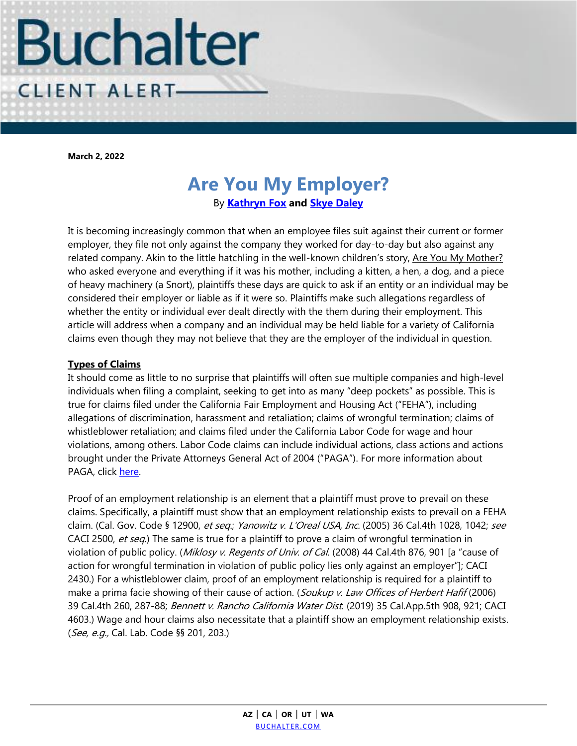

**March 2, 2022**

# **Are You My Employer?** By **[Kathryn Fox](https://www.buchalter.com/attorneys/kathryn-b-fox/#bio) and [Skye Daley](https://www.buchalter.com/attorneys/skye-daley/#bio)**

It is becoming increasingly common that when an employee files suit against their current or former employer, they file not only against the company they worked for day-to-day but also against any related company. Akin to the little hatchling in the well-known children's story, Are You My Mother? who asked everyone and everything if it was his mother, including a kitten, a hen, a dog, and a piece of heavy machinery (a Snort), plaintiffs these days are quick to ask if an entity or an individual may be considered their employer or liable as if it were so. Plaintiffs make such allegations regardless of whether the entity or individual ever dealt directly with the them during their employment. This article will address when a company and an individual may be held liable for a variety of California claims even though they may not believe that they are the employer of the individual in question.

## **Types of Claims**

It should come as little to no surprise that plaintiffs will often sue multiple companies and high-level individuals when filing a complaint, seeking to get into as many "deep pockets" as possible. This is true for claims filed under the California Fair Employment and Housing Act ("FEHA"), including allegations of discrimination, harassment and retaliation; claims of wrongful termination; claims of whistleblower retaliation; and claims filed under the California Labor Code for wage and hour violations, among others. Labor Code claims can include individual actions, class actions and actions brought under the Private Attorneys General Act of 2004 ("PAGA"). For more information about PAGA, click [here.](https://www.buchalter.com/publication/paga-developments-of-2022/)

Proof of an employment relationship is an element that a plaintiff must prove to prevail on these claims. Specifically, a plaintiff must show that an employment relationship exists to prevail on a FEHA claim. (Cal. Gov. Code § 12900, et seq.; Yanowitz v. L'Oreal USA, Inc. (2005) 36 Cal.4th 1028, 1042; see CACI 2500, et seq.) The same is true for a plaintiff to prove a claim of wrongful termination in violation of public policy. (Miklosy v. Regents of Univ. of Cal. (2008) 44 Cal.4th 876, 901 [a "cause of action for wrongful termination in violation of public policy lies only against an employer"]; CACI 2430.) For a whistleblower claim, proof of an employment relationship is required for a plaintiff to make a prima facie showing of their cause of action. (Soukup v. Law Offices of Herbert Hafif (2006) 39 Cal.4th 260, 287-88; Bennett v. Rancho California Water Dist. (2019) 35 Cal.App.5th 908, 921; CACI 4603.) Wage and hour claims also necessitate that a plaintiff show an employment relationship exists. (See, e.g., Cal. Lab. Code §§ 201, 203.)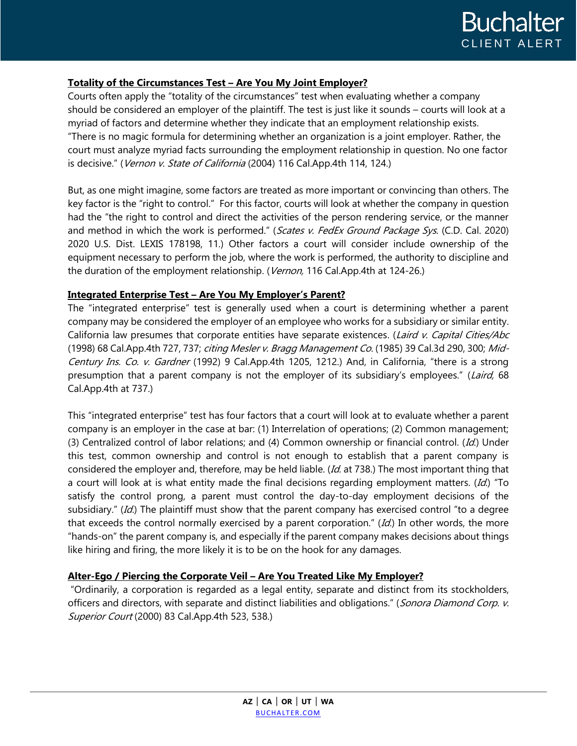

## **Totality of the Circumstances Test – Are You My Joint Employer?**

Courts often apply the "totality of the circumstances" test when evaluating whether a company should be considered an employer of the plaintiff. The test is just like it sounds – courts will look at a myriad of factors and determine whether they indicate that an employment relationship exists. "There is no magic formula for determining whether an organization is a joint employer. Rather, the court must analyze myriad facts surrounding the employment relationship in question. No one factor is decisive." (Vernon v. State of California (2004) 116 Cal.App.4th 114, 124.)

But, as one might imagine, some factors are treated as more important or convincing than others. The key factor is the "right to control." For this factor, courts will look at whether the company in question had the "the right to control and direct the activities of the person rendering service, or the manner and method in which the work is performed." (Scates v. FedEx Ground Package Sys. (C.D. Cal. 2020) 2020 U.S. Dist. LEXIS 178198, 11.) Other factors a court will consider include ownership of the equipment necessary to perform the job, where the work is performed, the authority to discipline and the duration of the employment relationship. (Vernon, 116 Cal.App.4th at 124-26.)

#### **Integrated Enterprise Test – Are You My Employer's Parent?**

The "integrated enterprise" test is generally used when a court is determining whether a parent company may be considered the employer of an employee who works for a subsidiary or similar entity. California law presumes that corporate entities have separate existences. (Laird v. Capital Cities/Abc (1998) 68 Cal.App.4th 727, 737; citing Mesler v. Bragg Management Co. (1985) 39 Cal.3d 290, 300; Mid-Century Ins. Co. v. Gardner (1992) 9 Cal.App.4th 1205, 1212.) And, in California, "there is a strong presumption that a parent company is not the employer of its subsidiary's employees." (Laird, 68 Cal.App.4th at 737.)

This "integrated enterprise" test has four factors that a court will look at to evaluate whether a parent company is an employer in the case at bar: (1) Interrelation of operations; (2) Common management; (3) Centralized control of labor relations; and (4) Common ownership or financial control. (Id.) Under this test, common ownership and control is not enough to establish that a parent company is considered the employer and, therefore, may be held liable. (Id. at 738.) The most important thing that a court will look at is what entity made the final decisions regarding employment matters. (Id.) "To satisfy the control prong, a parent must control the day-to-day employment decisions of the subsidiary." (Id.) The plaintiff must show that the parent company has exercised control "to a degree that exceeds the control normally exercised by a parent corporation." (Id.) In other words, the more "hands-on" the parent company is, and especially if the parent company makes decisions about things like hiring and firing, the more likely it is to be on the hook for any damages.

#### **Alter-Ego / Piercing the Corporate Veil – Are You Treated Like My Employer?**

"Ordinarily, a corporation is regarded as a legal entity, separate and distinct from its stockholders, officers and directors, with separate and distinct liabilities and obligations." (Sonora Diamond Corp. v. Superior Court (2000) 83 Cal.App.4th 523, 538.)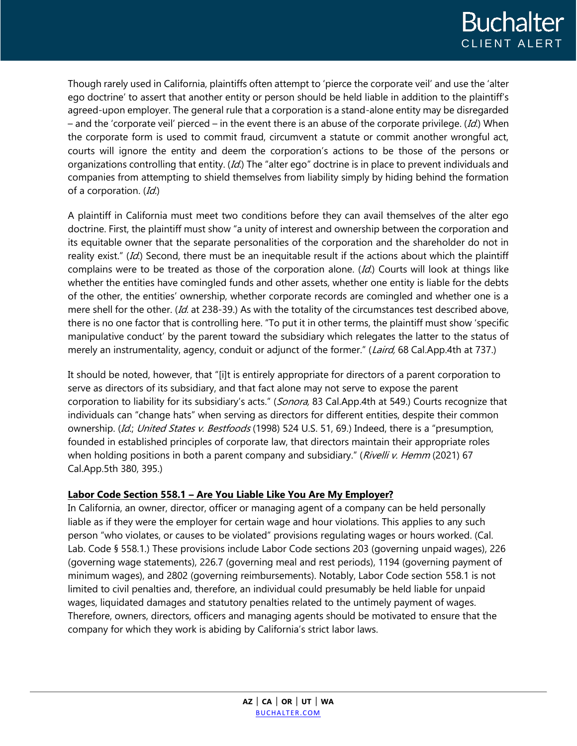Though rarely used in California, plaintiffs often attempt to 'pierce the corporate veil' and use the 'alter ego doctrine' to assert that another entity or person should be held liable in addition to the plaintiff's agreed-upon employer. The general rule that a corporation is a stand-alone entity may be disregarded – and the 'corporate veil' pierced – in the event there is an abuse of the corporate privilege.  $(Id)$  When the corporate form is used to commit fraud, circumvent a statute or commit another wrongful act, courts will ignore the entity and deem the corporation's actions to be those of the persons or organizations controlling that entity. (Id.) The "alter ego" doctrine is in place to prevent individuals and companies from attempting to shield themselves from liability simply by hiding behind the formation of a corporation. (Id.)

A plaintiff in California must meet two conditions before they can avail themselves of the alter ego doctrine. First, the plaintiff must show "a unity of interest and ownership between the corporation and its equitable owner that the separate personalities of the corporation and the shareholder do not in reality exist." (Id.) Second, there must be an inequitable result if the actions about which the plaintiff complains were to be treated as those of the corporation alone. (Id.) Courts will look at things like whether the entities have comingled funds and other assets, whether one entity is liable for the debts of the other, the entities' ownership, whether corporate records are comingled and whether one is a mere shell for the other. (Id. at 238-39.) As with the totality of the circumstances test described above, there is no one factor that is controlling here. "To put it in other terms, the plaintiff must show 'specific manipulative conduct' by the parent toward the subsidiary which relegates the latter to the status of merely an instrumentality, agency, conduit or adjunct of the former." (Laird, 68 Cal.App.4th at 737.)

It should be noted, however, that "[i]t is entirely appropriate for directors of a parent corporation to serve as directors of its subsidiary, and that fact alone may not serve to expose the parent corporation to liability for its subsidiary's acts." (Sonora, 83 Cal.App.4th at 549.) Courts recognize that individuals can "change hats" when serving as directors for different entities, despite their common ownership. (Id.; United States v. Bestfoods (1998) 524 U.S. 51, 69.) Indeed, there is a "presumption, founded in established principles of corporate law, that directors maintain their appropriate roles when holding positions in both a parent company and subsidiary." (Rivelli v. Hemm (2021) 67 Cal.App.5th 380, 395.)

## **Labor Code Section 558.1 – Are You Liable Like You Are My Employer?**

In California, an owner, director, officer or managing agent of a company can be held personally liable as if they were the employer for certain wage and hour violations. This applies to any such person "who violates, or causes to be violated" provisions regulating wages or hours worked. (Cal. Lab. Code § 558.1.) These provisions include Labor Code sections 203 (governing unpaid wages), 226 (governing wage statements), 226.7 (governing meal and rest periods), 1194 (governing payment of minimum wages), and 2802 (governing reimbursements). Notably, Labor Code section 558.1 is not limited to civil penalties and, therefore, an individual could presumably be held liable for unpaid wages, liquidated damages and statutory penalties related to the untimely payment of wages. Therefore, owners, directors, officers and managing agents should be motivated to ensure that the company for which they work is abiding by California's strict labor laws.